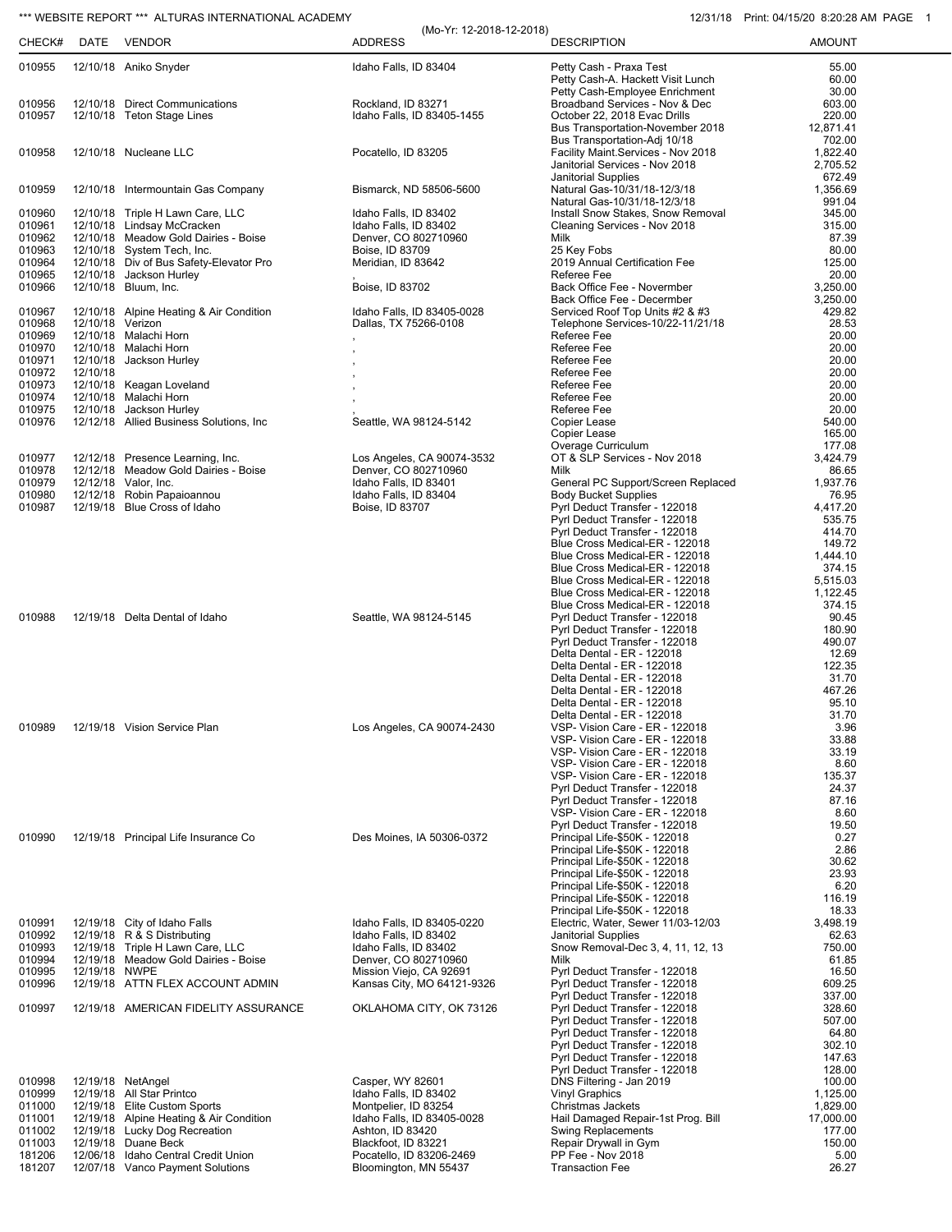## \*\*\* WEBSITE REPORT \*\*\* ALTURAS INTERNATIONAL ACADEMY 12/31/18 Print: 04/15/20 8:20:28 AM PAGE 1

| CHECK#           | DATE             | <b>VENDOR</b>                                                            | (Mo-Yr: 12-2018-12-2018)<br><b>ADDRESS</b>            | <b>DESCRIPTION</b>                                                   | I IIII. U TII U LU U LU LU I IIII I I<br><b>AMOUNT</b> |
|------------------|------------------|--------------------------------------------------------------------------|-------------------------------------------------------|----------------------------------------------------------------------|--------------------------------------------------------|
| 010955           |                  | 12/10/18 Aniko Snyder                                                    | Idaho Falls, ID 83404                                 | Petty Cash - Praxa Test                                              | 55.00                                                  |
|                  |                  |                                                                          |                                                       | Petty Cash-A. Hackett Visit Lunch                                    | 60.00                                                  |
|                  |                  |                                                                          |                                                       | Petty Cash-Employee Enrichment                                       | 30.00                                                  |
| 010956<br>010957 |                  | 12/10/18 Direct Communications<br>12/10/18 Teton Stage Lines             | Rockland, ID 83271<br>Idaho Falls, ID 83405-1455      | Broadband Services - Nov & Dec<br>October 22, 2018 Evac Drills       | 603.00<br>220.00                                       |
|                  |                  |                                                                          |                                                       | Bus Transportation-November 2018                                     | 12,871.41                                              |
|                  |                  |                                                                          |                                                       | Bus Transportation-Adj 10/18                                         | 702.00                                                 |
| 010958           |                  | 12/10/18 Nucleane LLC                                                    | Pocatello, ID 83205                                   | Facility Maint.Services - Nov 2018                                   | 1,822.40                                               |
|                  |                  |                                                                          |                                                       | Janitorial Services - Nov 2018<br>Janitorial Supplies                | 2,705.52<br>672.49                                     |
| 010959           |                  | 12/10/18 Intermountain Gas Company                                       | Bismarck, ND 58506-5600                               | Natural Gas-10/31/18-12/3/18                                         | 1,356.69                                               |
|                  |                  |                                                                          |                                                       | Natural Gas-10/31/18-12/3/18                                         | 991.04                                                 |
| 010960<br>010961 |                  | 12/10/18 Triple H Lawn Care, LLC<br>12/10/18 Lindsay McCracken           | Idaho Falls, ID 83402<br>Idaho Falls, ID 83402        | Install Snow Stakes, Snow Removal<br>Cleaning Services - Nov 2018    | 345.00<br>315.00                                       |
| 010962           |                  | 12/10/18 Meadow Gold Dairies - Boise                                     | Denver, CO 802710960                                  | Milk                                                                 | 87.39                                                  |
| 010963           |                  | 12/10/18 System Tech, Inc.                                               | Boise, ID 83709                                       | 25 Key Fobs                                                          | 80.00                                                  |
| 010964<br>010965 |                  | 12/10/18 Div of Bus Safety-Elevator Pro<br>12/10/18 Jackson Hurley       | Meridian, ID 83642                                    | 2019 Annual Certification Fee<br>Referee Fee                         | 125.00<br>20.00                                        |
| 010966           |                  | 12/10/18 Bluum, Inc.                                                     | Boise, ID 83702                                       | Back Office Fee - Novermber                                          | 3,250.00                                               |
|                  |                  |                                                                          |                                                       | Back Office Fee - Decermber                                          | 3,250.00                                               |
| 010967<br>010968 | 12/10/18 Verizon | 12/10/18 Alpine Heating & Air Condition                                  | Idaho Falls, ID 83405-0028<br>Dallas, TX 75266-0108   | Serviced Roof Top Units #2 & #3<br>Telephone Services-10/22-11/21/18 | 429.82<br>28.53                                        |
| 010969           |                  | 12/10/18 Malachi Horn                                                    |                                                       | Referee Fee                                                          | 20.00                                                  |
| 010970           |                  | 12/10/18 Malachi Horn                                                    |                                                       | Referee Fee                                                          | 20.00                                                  |
| 010971<br>010972 | 12/10/18         | 12/10/18 Jackson Hurley                                                  |                                                       | Referee Fee<br>Referee Fee                                           | 20.00<br>20.00                                         |
| 010973           |                  | 12/10/18 Keagan Loveland                                                 |                                                       | Referee Fee                                                          | 20.00                                                  |
| 010974           |                  | 12/10/18 Malachi Horn                                                    |                                                       | Referee Fee                                                          | 20.00                                                  |
| 010975<br>010976 |                  | 12/10/18 Jackson Hurley<br>12/12/18 Allied Business Solutions, Inc       | Seattle, WA 98124-5142                                | Referee Fee<br>Copier Lease                                          | 20.00<br>540.00                                        |
|                  |                  |                                                                          |                                                       | Copier Lease                                                         | 165.00                                                 |
|                  |                  |                                                                          |                                                       | Overage Curriculum                                                   | 177.08                                                 |
| 010977<br>010978 |                  | 12/12/18 Presence Learning, Inc.<br>12/12/18 Meadow Gold Dairies - Boise | Los Angeles, CA 90074-3532<br>Denver, CO 802710960    | OT & SLP Services - Nov 2018<br>Milk                                 | 3,424.79<br>86.65                                      |
| 010979           |                  | 12/12/18 Valor, Inc.                                                     | Idaho Falls, ID 83401                                 | General PC Support/Screen Replaced                                   | 1,937.76                                               |
| 010980           |                  | 12/12/18 Robin Papaioannou                                               | Idaho Falls, ID 83404                                 | <b>Body Bucket Supplies</b>                                          | 76.95                                                  |
| 010987           |                  | 12/19/18 Blue Cross of Idaho                                             | Boise, ID 83707                                       | Pyrl Deduct Transfer - 122018                                        | 4,417.20                                               |
|                  |                  |                                                                          |                                                       | Pyrl Deduct Transfer - 122018<br>Pyrl Deduct Transfer - 122018       | 535.75<br>414.70                                       |
|                  |                  |                                                                          |                                                       | Blue Cross Medical-ER - 122018                                       | 149.72                                                 |
|                  |                  |                                                                          |                                                       | Blue Cross Medical-ER - 122018                                       | 1,444.10                                               |
|                  |                  |                                                                          |                                                       | Blue Cross Medical-ER - 122018<br>Blue Cross Medical-ER - 122018     | 374.15<br>5,515.03                                     |
|                  |                  |                                                                          |                                                       | Blue Cross Medical-ER - 122018                                       | 1,122.45                                               |
|                  |                  |                                                                          |                                                       | Blue Cross Medical-ER - 122018                                       | 374.15                                                 |
| 010988           |                  | 12/19/18 Delta Dental of Idaho                                           | Seattle, WA 98124-5145                                | Pyrl Deduct Transfer - 122018<br>Pyrl Deduct Transfer - 122018       | 90.45<br>180.90                                        |
|                  |                  |                                                                          |                                                       | Pyrl Deduct Transfer - 122018                                        | 490.07                                                 |
|                  |                  |                                                                          |                                                       | Delta Dental - ER - 122018                                           | 12.69                                                  |
|                  |                  |                                                                          |                                                       | Delta Dental - ER - 122018<br>Delta Dental - ER - 122018             | 122.35<br>31.70                                        |
|                  |                  |                                                                          |                                                       | Delta Dental - ER - 122018                                           | 467.26                                                 |
|                  |                  |                                                                          |                                                       | Delta Dental - ER - 122018                                           | 95.10                                                  |
| 010989           |                  | 12/19/18 Vision Service Plan                                             | Los Angeles, CA 90074-2430                            | Delta Dental - ER - 122018<br>VSP- Vision Care - ER - 122018         | 31.70<br>3.96                                          |
|                  |                  |                                                                          |                                                       | VSP- Vision Care - ER - 122018                                       | 33.88                                                  |
|                  |                  |                                                                          |                                                       | VSP- Vision Care - ER - 122018                                       | 33.19                                                  |
|                  |                  |                                                                          |                                                       | VSP- Vision Care - ER - 122018<br>VSP- Vision Care - ER - 122018     | 8.60<br>135.37                                         |
|                  |                  |                                                                          |                                                       | Pyrl Deduct Transfer - 122018                                        | 24.37                                                  |
|                  |                  |                                                                          |                                                       | Pyrl Deduct Transfer - 122018                                        | 87.16                                                  |
|                  |                  |                                                                          |                                                       | VSP- Vision Care - ER - 122018                                       | 8.60                                                   |
| 010990           |                  | 12/19/18 Principal Life Insurance Co                                     | Des Moines, IA 50306-0372                             | Pyrl Deduct Transfer - 122018<br>Principal Life-\$50K - 122018       | 19.50<br>0.27                                          |
|                  |                  |                                                                          |                                                       | Principal Life-\$50K - 122018                                        | 2.86                                                   |
|                  |                  |                                                                          |                                                       | Principal Life-\$50K - 122018                                        | 30.62                                                  |
|                  |                  |                                                                          |                                                       | Principal Life-\$50K - 122018<br>Principal Life-\$50K - 122018       | 23.93<br>6.20                                          |
|                  |                  |                                                                          |                                                       | Principal Life-\$50K - 122018                                        | 116.19                                                 |
|                  |                  |                                                                          |                                                       | Principal Life-\$50K - 122018                                        | 18.33                                                  |
| 010991<br>010992 |                  | 12/19/18 City of Idaho Falls<br>12/19/18 R & S Distributing              | Idaho Falls, ID 83405-0220<br>Idaho Falls, ID 83402   | Electric, Water, Sewer 11/03-12/03<br><b>Janitorial Supplies</b>     | 3,498.19<br>62.63                                      |
| 010993           |                  | 12/19/18 Triple H Lawn Care, LLC                                         | Idaho Falls, ID 83402                                 | Snow Removal-Dec 3, 4, 11, 12, 13                                    | 750.00                                                 |
| 010994           |                  | 12/19/18 Meadow Gold Dairies - Boise                                     | Denver, CO 802710960                                  | Milk                                                                 | 61.85                                                  |
| 010995<br>010996 | 12/19/18 NWPE    | 12/19/18 ATTN FLEX ACCOUNT ADMIN                                         | Mission Viejo, CA 92691<br>Kansas City, MO 64121-9326 | Pyrl Deduct Transfer - 122018<br>Pyrl Deduct Transfer - 122018       | 16.50<br>609.25                                        |
|                  |                  |                                                                          |                                                       | Pyrl Deduct Transfer - 122018                                        | 337.00                                                 |
| 010997           |                  | 12/19/18 AMERICAN FIDELITY ASSURANCE                                     | OKLAHOMA CITY, OK 73126                               | Pyrl Deduct Transfer - 122018                                        | 328.60                                                 |
|                  |                  |                                                                          |                                                       | Pyrl Deduct Transfer - 122018<br>Pyrl Deduct Transfer - 122018       | 507.00<br>64.80                                        |
|                  |                  |                                                                          |                                                       | Pyrl Deduct Transfer - 122018                                        | 302.10                                                 |
|                  |                  |                                                                          |                                                       | Pyrl Deduct Transfer - 122018                                        | 147.63                                                 |
| 010998           |                  | 12/19/18 NetAngel                                                        | Casper, WY 82601                                      | Pyrl Deduct Transfer - 122018<br>DNS Filtering - Jan 2019            | 128.00<br>100.00                                       |
| 010999           |                  | 12/19/18 All Star Printco                                                | Idaho Falls, ID 83402                                 | <b>Vinyl Graphics</b>                                                | 1,125.00                                               |
| 011000           |                  | 12/19/18 Elite Custom Sports                                             | Montpelier, ID 83254                                  | Christmas Jackets                                                    | 1,829.00                                               |
| 011001<br>011002 |                  | 12/19/18 Alpine Heating & Air Condition<br>12/19/18 Lucky Dog Recreation | Idaho Falls, ID 83405-0028                            | Hail Damaged Repair-1st Prog. Bill<br><b>Swing Replacements</b>      | 17,000.00                                              |
| 011003           |                  | 12/19/18 Duane Beck                                                      | Ashton, ID 83420<br>Blackfoot, ID 83221               | Repair Drywall in Gym                                                | 177.00<br>150.00                                       |
| 181206           |                  | 12/06/18 Idaho Central Credit Union                                      | Pocatello, ID 83206-2469                              | PP Fee - Nov 2018                                                    | 5.00                                                   |
| 181207           |                  | 12/07/18 Vanco Payment Solutions                                         | Bloomington, MN 55437                                 | <b>Transaction Fee</b>                                               | 26.27                                                  |